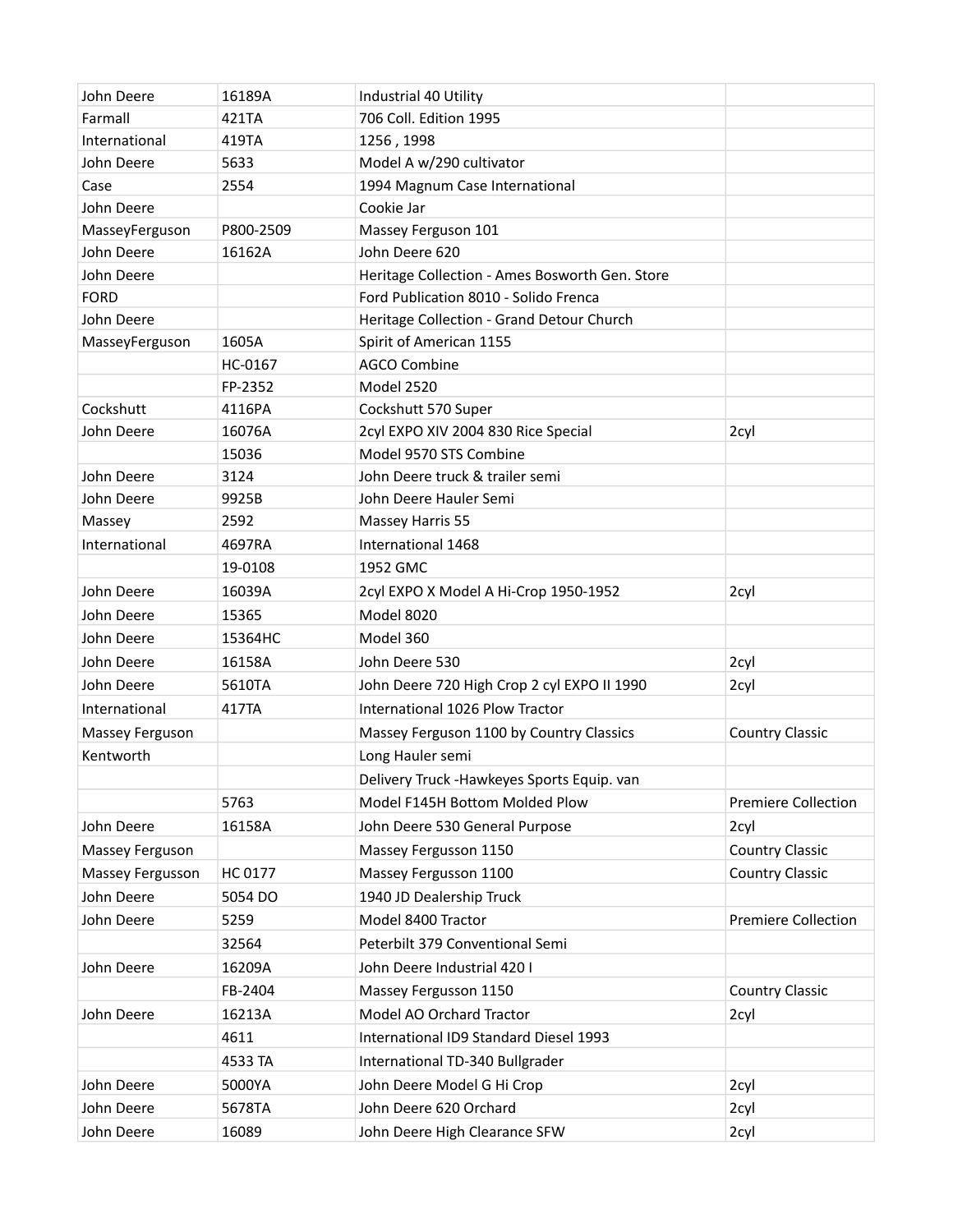| John Deere       | 16189A    | Industrial 40 Utility                          |                            |
|------------------|-----------|------------------------------------------------|----------------------------|
| Farmall          | 421TA     | 706 Coll. Edition 1995                         |                            |
| International    | 419TA     | 1256, 1998                                     |                            |
| John Deere       | 5633      | Model A w/290 cultivator                       |                            |
| Case             | 2554      | 1994 Magnum Case International                 |                            |
| John Deere       |           | Cookie Jar                                     |                            |
| MasseyFerguson   | P800-2509 | Massey Ferguson 101                            |                            |
| John Deere       | 16162A    | John Deere 620                                 |                            |
| John Deere       |           | Heritage Collection - Ames Bosworth Gen. Store |                            |
| <b>FORD</b>      |           | Ford Publication 8010 - Solido Frenca          |                            |
| John Deere       |           | Heritage Collection - Grand Detour Church      |                            |
| MasseyFerguson   | 1605A     | Spirit of American 1155                        |                            |
|                  | HC-0167   | <b>AGCO Combine</b>                            |                            |
|                  | FP-2352   | Model 2520                                     |                            |
| Cockshutt        | 4116PA    | Cockshutt 570 Super                            |                            |
| John Deere       | 16076A    | 2cyl EXPO XIV 2004 830 Rice Special            | 2cyl                       |
|                  | 15036     | Model 9570 STS Combine                         |                            |
| John Deere       | 3124      | John Deere truck & trailer semi                |                            |
| John Deere       | 9925B     | John Deere Hauler Semi                         |                            |
| Massey           | 2592      | Massey Harris 55                               |                            |
| International    | 4697RA    | International 1468                             |                            |
|                  | 19-0108   | 1952 GMC                                       |                            |
| John Deere       | 16039A    | 2cyl EXPO X Model A Hi-Crop 1950-1952          | 2cyl                       |
| John Deere       | 15365     | Model 8020                                     |                            |
| John Deere       | 15364HC   | Model 360                                      |                            |
| John Deere       | 16158A    | John Deere 530                                 | 2cyl                       |
| John Deere       | 5610TA    | John Deere 720 High Crop 2 cyl EXPO II 1990    | 2cyl                       |
| International    | 417TA     | International 1026 Plow Tractor                |                            |
| Massey Ferguson  |           | Massey Ferguson 1100 by Country Classics       | <b>Country Classic</b>     |
| Kentworth        |           | Long Hauler semi                               |                            |
|                  |           | Delivery Truck - Hawkeyes Sports Equip. van    |                            |
|                  | 5763      | Model F145H Bottom Molded Plow                 | <b>Premiere Collection</b> |
| John Deere       | 16158A    | John Deere 530 General Purpose                 | 2cyl                       |
| Massey Ferguson  |           | Massey Fergusson 1150                          | <b>Country Classic</b>     |
| Massey Fergusson | HC 0177   | Massey Fergusson 1100                          | <b>Country Classic</b>     |
| John Deere       | 5054 DO   | 1940 JD Dealership Truck                       |                            |
| John Deere       | 5259      | Model 8400 Tractor                             | <b>Premiere Collection</b> |
|                  | 32564     | Peterbilt 379 Conventional Semi                |                            |
| John Deere       | 16209A    | John Deere Industrial 420 I                    |                            |
|                  | FB-2404   | Massey Fergusson 1150                          | <b>Country Classic</b>     |
| John Deere       | 16213A    | Model AO Orchard Tractor                       | 2cyl                       |
|                  | 4611      | International ID9 Standard Diesel 1993         |                            |
|                  | 4533 TA   | International TD-340 Bullgrader                |                            |
| John Deere       | 5000YA    | John Deere Model G Hi Crop                     | 2cyl                       |
| John Deere       | 5678TA    | John Deere 620 Orchard                         | 2cyl                       |
| John Deere       | 16089     | John Deere High Clearance SFW                  | 2cyl                       |
|                  |           |                                                |                            |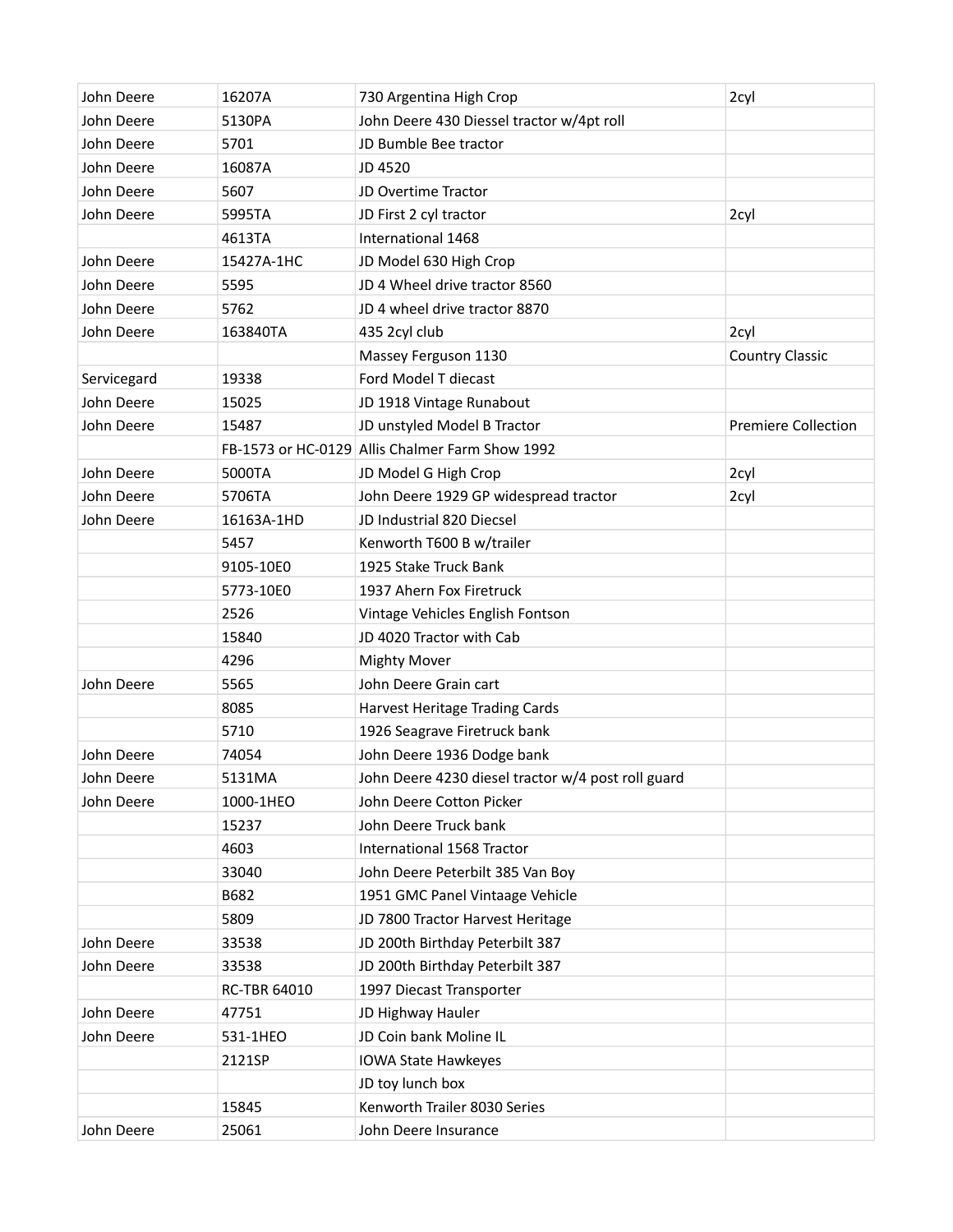| John Deere  | 16207A              | 730 Argentina High Crop                            | 2cyl                       |
|-------------|---------------------|----------------------------------------------------|----------------------------|
| John Deere  | 5130PA              | John Deere 430 Diessel tractor w/4pt roll          |                            |
| John Deere  | 5701                | JD Bumble Bee tractor                              |                            |
| John Deere  | 16087A              | JD 4520                                            |                            |
| John Deere  | 5607                | JD Overtime Tractor                                |                            |
| John Deere  | 5995TA              | JD First 2 cyl tractor                             | 2cyl                       |
|             | 4613TA              | International 1468                                 |                            |
| John Deere  | 15427A-1HC          | JD Model 630 High Crop                             |                            |
| John Deere  | 5595                | JD 4 Wheel drive tractor 8560                      |                            |
| John Deere  | 5762                | JD 4 wheel drive tractor 8870                      |                            |
| John Deere  | 163840TA            | 435 2cyl club                                      | 2cyl                       |
|             |                     | Massey Ferguson 1130                               | <b>Country Classic</b>     |
| Servicegard | 19338               | Ford Model T diecast                               |                            |
| John Deere  | 15025               | JD 1918 Vintage Runabout                           |                            |
| John Deere  | 15487               | JD unstyled Model B Tractor                        | <b>Premiere Collection</b> |
|             |                     | FB-1573 or HC-0129 Allis Chalmer Farm Show 1992    |                            |
| John Deere  | 5000TA              | JD Model G High Crop                               | 2cyl                       |
| John Deere  | 5706TA              | John Deere 1929 GP widespread tractor              | 2cyl                       |
| John Deere  | 16163A-1HD          | JD Industrial 820 Diecsel                          |                            |
|             | 5457                | Kenworth T600 B w/trailer                          |                            |
|             | 9105-10E0           | 1925 Stake Truck Bank                              |                            |
|             | 5773-10E0           | 1937 Ahern Fox Firetruck                           |                            |
|             | 2526                | Vintage Vehicles English Fontson                   |                            |
|             | 15840               | JD 4020 Tractor with Cab                           |                            |
|             | 4296                | <b>Mighty Mover</b>                                |                            |
| John Deere  | 5565                | John Deere Grain cart                              |                            |
|             | 8085                | Harvest Heritage Trading Cards                     |                            |
|             | 5710                | 1926 Seagrave Firetruck bank                       |                            |
| John Deere  | 74054               | John Deere 1936 Dodge bank                         |                            |
| John Deere  | 5131MA              | John Deere 4230 diesel tractor w/4 post roll guard |                            |
| John Deere  | 1000-1HEO           | John Deere Cotton Picker                           |                            |
|             | 15237               | John Deere Truck bank                              |                            |
|             | 4603                | International 1568 Tractor                         |                            |
|             | 33040               | John Deere Peterbilt 385 Van Boy                   |                            |
|             | B682                | 1951 GMC Panel Vintaage Vehicle                    |                            |
|             | 5809                | JD 7800 Tractor Harvest Heritage                   |                            |
| John Deere  | 33538               | JD 200th Birthday Peterbilt 387                    |                            |
| John Deere  | 33538               | JD 200th Birthday Peterbilt 387                    |                            |
|             | <b>RC-TBR 64010</b> | 1997 Diecast Transporter                           |                            |
| John Deere  | 47751               | JD Highway Hauler                                  |                            |
| John Deere  | 531-1HEO            | JD Coin bank Moline IL                             |                            |
|             | 2121SP              | <b>IOWA State Hawkeyes</b>                         |                            |
|             |                     | JD toy lunch box                                   |                            |
|             | 15845               | Kenworth Trailer 8030 Series                       |                            |
| John Deere  | 25061               | John Deere Insurance                               |                            |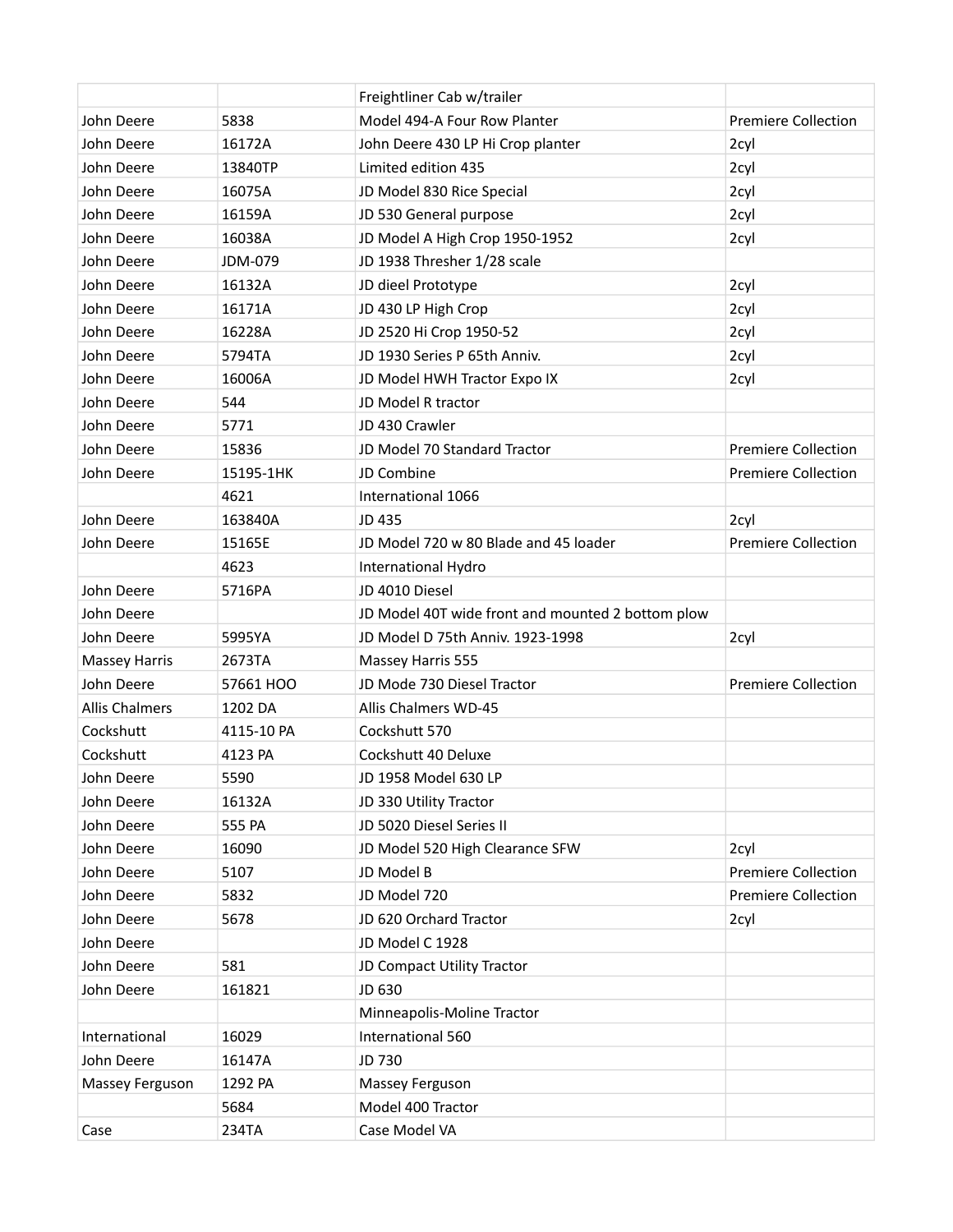|                       |            | Freightliner Cab w/trailer                        |                            |  |
|-----------------------|------------|---------------------------------------------------|----------------------------|--|
| John Deere            | 5838       | Model 494-A Four Row Planter                      | <b>Premiere Collection</b> |  |
| John Deere            | 16172A     | John Deere 430 LP Hi Crop planter                 | 2cyl                       |  |
| John Deere            | 13840TP    | Limited edition 435                               | 2cyl                       |  |
| John Deere            | 16075A     | JD Model 830 Rice Special                         | 2cyl                       |  |
| John Deere            | 16159A     | JD 530 General purpose                            | 2cyl                       |  |
| John Deere            | 16038A     | JD Model A High Crop 1950-1952                    | 2cyl                       |  |
| John Deere            | JDM-079    | JD 1938 Thresher 1/28 scale                       |                            |  |
| John Deere            | 16132A     | JD dieel Prototype                                | 2cyl                       |  |
| John Deere            | 16171A     | JD 430 LP High Crop                               | 2cyl                       |  |
| John Deere            | 16228A     | JD 2520 Hi Crop 1950-52                           | 2cyl                       |  |
| John Deere            | 5794TA     | JD 1930 Series P 65th Anniv.                      | 2cyl                       |  |
| John Deere            | 16006A     | JD Model HWH Tractor Expo IX                      | 2cyl                       |  |
| John Deere            | 544        | JD Model R tractor                                |                            |  |
| John Deere            | 5771       | JD 430 Crawler                                    |                            |  |
| John Deere            | 15836      | JD Model 70 Standard Tractor                      | <b>Premiere Collection</b> |  |
| John Deere            | 15195-1HK  | JD Combine                                        | <b>Premiere Collection</b> |  |
|                       | 4621       | International 1066                                |                            |  |
| John Deere            | 163840A    | JD 435                                            | 2cyl                       |  |
| John Deere            | 15165E     | JD Model 720 w 80 Blade and 45 loader             | <b>Premiere Collection</b> |  |
|                       | 4623       | International Hydro                               |                            |  |
| John Deere            | 5716PA     | JD 4010 Diesel                                    |                            |  |
| John Deere            |            | JD Model 40T wide front and mounted 2 bottom plow |                            |  |
| John Deere            | 5995YA     | JD Model D 75th Anniv. 1923-1998                  | 2cyl                       |  |
| <b>Massey Harris</b>  | 2673TA     | Massey Harris 555                                 |                            |  |
| John Deere            | 57661 HOO  | JD Mode 730 Diesel Tractor                        | <b>Premiere Collection</b> |  |
| <b>Allis Chalmers</b> | 1202 DA    | Allis Chalmers WD-45                              |                            |  |
| Cockshutt             | 4115-10 PA | Cockshutt 570                                     |                            |  |
| Cockshutt             | 4123 PA    | Cockshutt 40 Deluxe                               |                            |  |
| John Deere            | 5590       | JD 1958 Model 630 LP                              |                            |  |
| John Deere            | 16132A     | JD 330 Utility Tractor                            |                            |  |
| John Deere            | 555 PA     | JD 5020 Diesel Series II                          |                            |  |
| John Deere            | 16090      | JD Model 520 High Clearance SFW                   | 2cyl                       |  |
| John Deere            | 5107       | JD Model B                                        | <b>Premiere Collection</b> |  |
| John Deere            | 5832       | JD Model 720                                      | <b>Premiere Collection</b> |  |
| John Deere            | 5678       | JD 620 Orchard Tractor                            | 2cyl                       |  |
| John Deere            |            | JD Model C 1928                                   |                            |  |
| John Deere            | 581        | JD Compact Utility Tractor                        |                            |  |
| John Deere            | 161821     | JD 630                                            |                            |  |
|                       |            | Minneapolis-Moline Tractor                        |                            |  |
| International         | 16029      | International 560                                 |                            |  |
| John Deere            | 16147A     | JD 730                                            |                            |  |
| Massey Ferguson       | 1292 PA    | Massey Ferguson                                   |                            |  |
|                       | 5684       | Model 400 Tractor                                 |                            |  |
| Case                  | 234TA      | Case Model VA                                     |                            |  |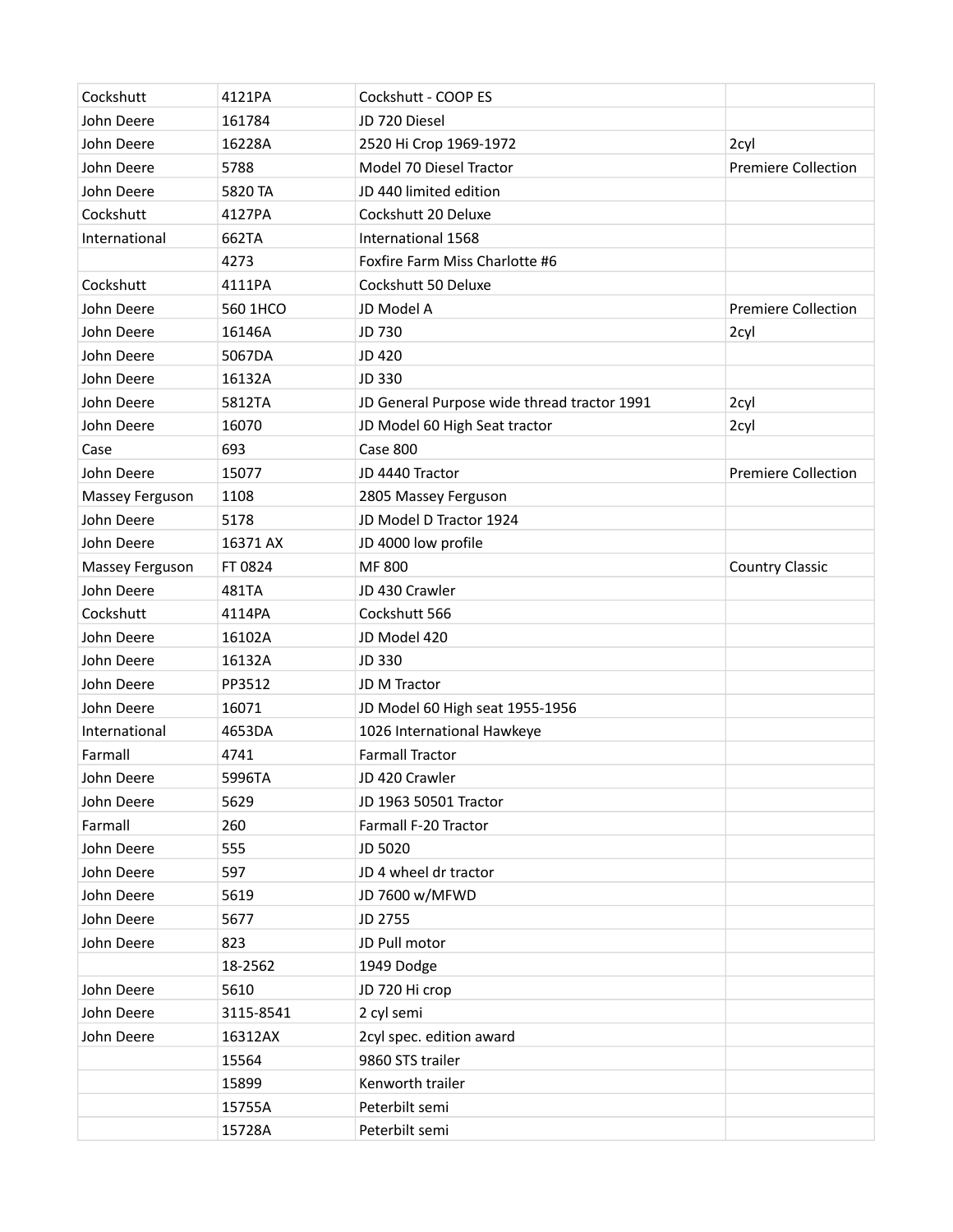| Cockshutt       | 4121PA    | Cockshutt - COOP ES                         |                            |
|-----------------|-----------|---------------------------------------------|----------------------------|
| John Deere      | 161784    | JD 720 Diesel                               |                            |
| John Deere      | 16228A    | 2520 Hi Crop 1969-1972                      | 2cyl                       |
| John Deere      | 5788      | Model 70 Diesel Tractor                     | <b>Premiere Collection</b> |
| John Deere      | 5820 TA   | JD 440 limited edition                      |                            |
| Cockshutt       | 4127PA    | Cockshutt 20 Deluxe                         |                            |
| International   | 662TA     | International 1568                          |                            |
|                 | 4273      | Foxfire Farm Miss Charlotte #6              |                            |
| Cockshutt       | 4111PA    | Cockshutt 50 Deluxe                         |                            |
| John Deere      | 560 1HCO  | JD Model A                                  | <b>Premiere Collection</b> |
| John Deere      | 16146A    | JD 730                                      | 2cyl                       |
| John Deere      | 5067DA    | JD 420                                      |                            |
| John Deere      | 16132A    | JD 330                                      |                            |
| John Deere      | 5812TA    | JD General Purpose wide thread tractor 1991 | 2cyl                       |
| John Deere      | 16070     | JD Model 60 High Seat tractor               | 2cyl                       |
| Case            | 693       | Case 800                                    |                            |
| John Deere      | 15077     | JD 4440 Tractor                             | <b>Premiere Collection</b> |
| Massey Ferguson | 1108      | 2805 Massey Ferguson                        |                            |
| John Deere      | 5178      | JD Model D Tractor 1924                     |                            |
| John Deere      | 16371 AX  | JD 4000 low profile                         |                            |
| Massey Ferguson | FT 0824   | MF 800                                      | <b>Country Classic</b>     |
| John Deere      | 481TA     | JD 430 Crawler                              |                            |
| Cockshutt       | 4114PA    | Cockshutt 566                               |                            |
| John Deere      | 16102A    | JD Model 420                                |                            |
| John Deere      | 16132A    | JD 330                                      |                            |
| John Deere      | PP3512    | JD M Tractor                                |                            |
| John Deere      | 16071     | JD Model 60 High seat 1955-1956             |                            |
| International   | 4653DA    | 1026 International Hawkeye                  |                            |
| Farmall         | 4741      | <b>Farmall Tractor</b>                      |                            |
| John Deere      | 5996TA    | JD 420 Crawler                              |                            |
| John Deere      | 5629      | JD 1963 50501 Tractor                       |                            |
| Farmall         | 260       | Farmall F-20 Tractor                        |                            |
| John Deere      | 555       | JD 5020                                     |                            |
| John Deere      | 597       | JD 4 wheel dr tractor                       |                            |
| John Deere      | 5619      | JD 7600 w/MFWD                              |                            |
| John Deere      | 5677      | JD 2755                                     |                            |
| John Deere      | 823       | JD Pull motor                               |                            |
|                 | 18-2562   | 1949 Dodge                                  |                            |
| John Deere      | 5610      | JD 720 Hi crop                              |                            |
| John Deere      | 3115-8541 | 2 cyl semi                                  |                            |
| John Deere      | 16312AX   | 2cyl spec. edition award                    |                            |
|                 | 15564     | 9860 STS trailer                            |                            |
|                 | 15899     | Kenworth trailer                            |                            |
|                 | 15755A    | Peterbilt semi                              |                            |
|                 | 15728A    | Peterbilt semi                              |                            |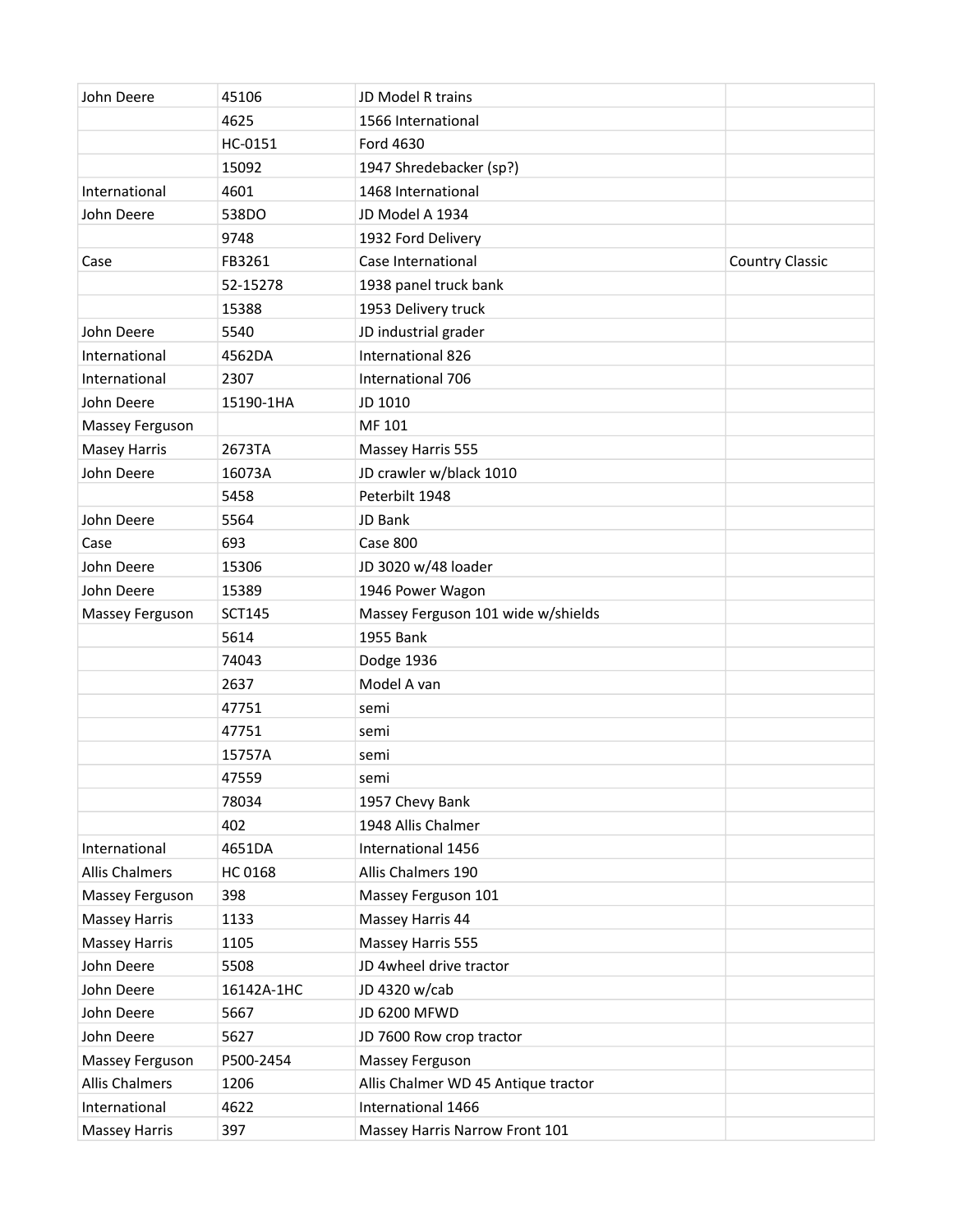| John Deere            | 45106         | JD Model R trains                   |                        |
|-----------------------|---------------|-------------------------------------|------------------------|
|                       | 4625          | 1566 International                  |                        |
|                       | HC-0151       | Ford 4630                           |                        |
|                       | 15092         | 1947 Shredebacker (sp?)             |                        |
| International         | 4601          | 1468 International                  |                        |
| John Deere            | 538DO         | JD Model A 1934                     |                        |
|                       | 9748          | 1932 Ford Delivery                  |                        |
| Case                  | FB3261        | Case International                  | <b>Country Classic</b> |
|                       | 52-15278      | 1938 panel truck bank               |                        |
|                       | 15388         | 1953 Delivery truck                 |                        |
| John Deere            | 5540          | JD industrial grader                |                        |
| International         | 4562DA        | International 826                   |                        |
| International         | 2307          | International 706                   |                        |
| John Deere            | 15190-1HA     | JD 1010                             |                        |
| Massey Ferguson       |               | MF 101                              |                        |
| <b>Masey Harris</b>   | 2673TA        | Massey Harris 555                   |                        |
| John Deere            | 16073A        | JD crawler w/black 1010             |                        |
|                       | 5458          | Peterbilt 1948                      |                        |
| John Deere            | 5564          | JD Bank                             |                        |
| Case                  | 693           | Case 800                            |                        |
| John Deere            | 15306         | JD 3020 w/48 loader                 |                        |
| John Deere            | 15389         | 1946 Power Wagon                    |                        |
| Massey Ferguson       | <b>SCT145</b> | Massey Ferguson 101 wide w/shields  |                        |
|                       | 5614          | 1955 Bank                           |                        |
|                       | 74043         | Dodge 1936                          |                        |
|                       | 2637          | Model A van                         |                        |
|                       | 47751         | semi                                |                        |
|                       | 47751         | semi                                |                        |
|                       | 15757A        | semi                                |                        |
|                       | 47559         | semi                                |                        |
|                       | 78034         | 1957 Chevy Bank                     |                        |
|                       | 402           | 1948 Allis Chalmer                  |                        |
| International         | 4651DA        | International 1456                  |                        |
| <b>Allis Chalmers</b> | HC 0168       | Allis Chalmers 190                  |                        |
| Massey Ferguson       | 398           | Massey Ferguson 101                 |                        |
| <b>Massey Harris</b>  | 1133          | Massey Harris 44                    |                        |
| <b>Massey Harris</b>  | 1105          | Massey Harris 555                   |                        |
| John Deere            | 5508          | JD 4wheel drive tractor             |                        |
| John Deere            | 16142A-1HC    | JD 4320 w/cab                       |                        |
| John Deere            | 5667          | JD 6200 MFWD                        |                        |
| John Deere            | 5627          | JD 7600 Row crop tractor            |                        |
| Massey Ferguson       | P500-2454     | Massey Ferguson                     |                        |
| <b>Allis Chalmers</b> | 1206          | Allis Chalmer WD 45 Antique tractor |                        |
| International         | 4622          | International 1466                  |                        |
| <b>Massey Harris</b>  | 397           | Massey Harris Narrow Front 101      |                        |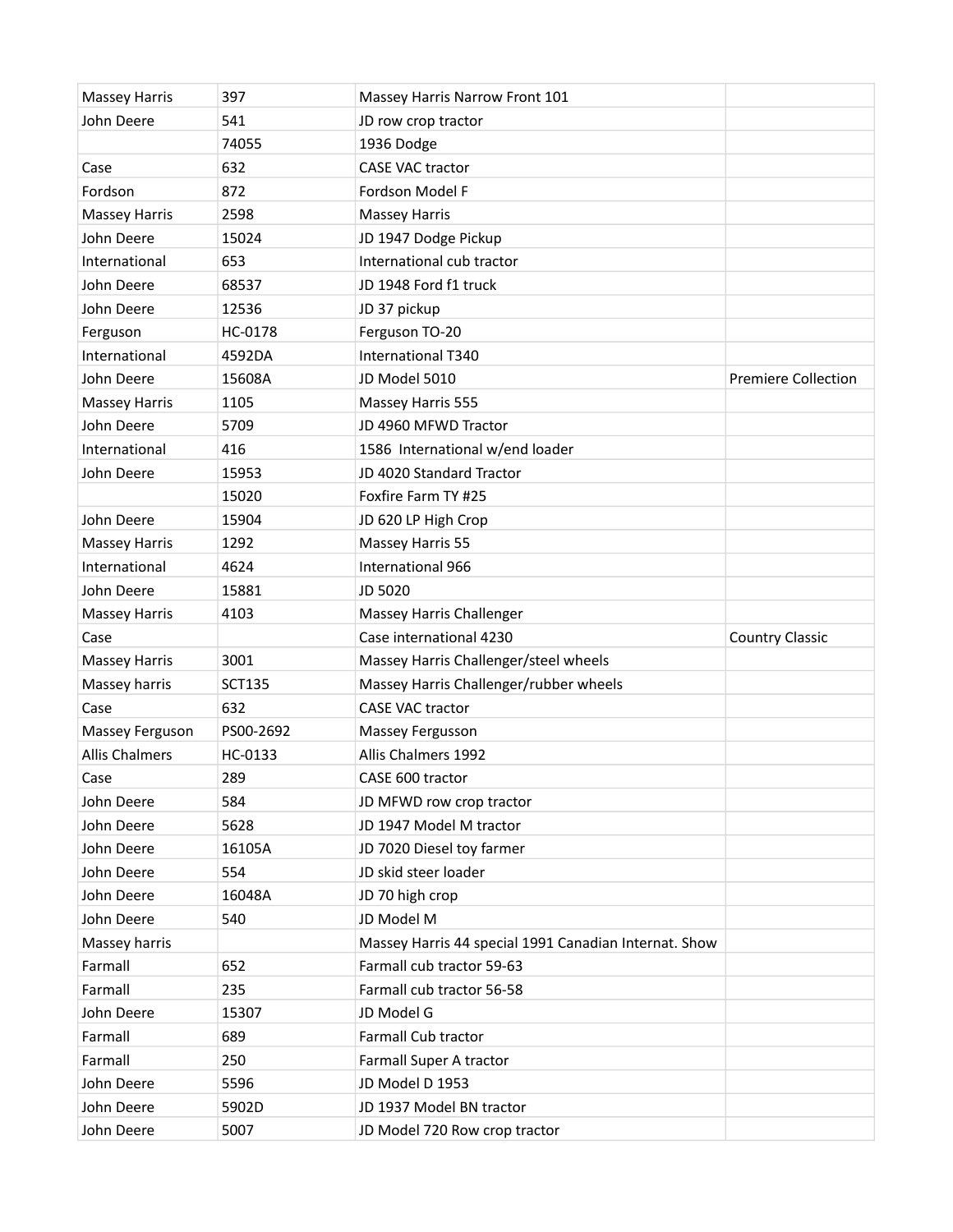| <b>Massey Harris</b>  | 397           | Massey Harris Narrow Front 101                        |                            |
|-----------------------|---------------|-------------------------------------------------------|----------------------------|
| John Deere            | 541           | JD row crop tractor                                   |                            |
|                       | 74055         | 1936 Dodge                                            |                            |
| Case                  | 632           | <b>CASE VAC tractor</b>                               |                            |
| Fordson               | 872           | Fordson Model F                                       |                            |
| <b>Massey Harris</b>  | 2598          | <b>Massey Harris</b>                                  |                            |
| John Deere            | 15024         | JD 1947 Dodge Pickup                                  |                            |
| International         | 653           | International cub tractor                             |                            |
| John Deere            | 68537         | JD 1948 Ford f1 truck                                 |                            |
| John Deere            | 12536         | JD 37 pickup                                          |                            |
| Ferguson              | HC-0178       | Ferguson TO-20                                        |                            |
| International         | 4592DA        | International T340                                    |                            |
| John Deere            | 15608A        | JD Model 5010                                         | <b>Premiere Collection</b> |
| <b>Massey Harris</b>  | 1105          | Massey Harris 555                                     |                            |
| John Deere            | 5709          | JD 4960 MFWD Tractor                                  |                            |
| International         | 416           | 1586 International w/end loader                       |                            |
| John Deere            | 15953         | JD 4020 Standard Tractor                              |                            |
|                       | 15020         | Foxfire Farm TY #25                                   |                            |
| John Deere            | 15904         | JD 620 LP High Crop                                   |                            |
| <b>Massey Harris</b>  | 1292          | Massey Harris 55                                      |                            |
| International         | 4624          | International 966                                     |                            |
| John Deere            | 15881         | JD 5020                                               |                            |
| <b>Massey Harris</b>  | 4103          | Massey Harris Challenger                              |                            |
| Case                  |               | Case international 4230                               | <b>Country Classic</b>     |
| <b>Massey Harris</b>  | 3001          | Massey Harris Challenger/steel wheels                 |                            |
| Massey harris         | <b>SCT135</b> | Massey Harris Challenger/rubber wheels                |                            |
| Case                  | 632           | <b>CASE VAC tractor</b>                               |                            |
| Massey Ferguson       | PS00-2692     | Massey Fergusson                                      |                            |
| <b>Allis Chalmers</b> | HC-0133       | Allis Chalmers 1992                                   |                            |
| Case                  | 289           | CASE 600 tractor                                      |                            |
| John Deere            | 584           | JD MFWD row crop tractor                              |                            |
| John Deere            | 5628          | JD 1947 Model M tractor                               |                            |
| John Deere            | 16105A        | JD 7020 Diesel toy farmer                             |                            |
| John Deere            | 554           | JD skid steer loader                                  |                            |
| John Deere            | 16048A        | JD 70 high crop                                       |                            |
| John Deere            | 540           | JD Model M                                            |                            |
| Massey harris         |               | Massey Harris 44 special 1991 Canadian Internat. Show |                            |
| Farmall               | 652           | Farmall cub tractor 59-63                             |                            |
| Farmall               | 235           | Farmall cub tractor 56-58                             |                            |
| John Deere            | 15307         | JD Model G                                            |                            |
| Farmall               | 689           | Farmall Cub tractor                                   |                            |
| Farmall               | 250           | Farmall Super A tractor                               |                            |
| John Deere            | 5596          | JD Model D 1953                                       |                            |
| John Deere            | 5902D         | JD 1937 Model BN tractor                              |                            |
| John Deere            | 5007          | JD Model 720 Row crop tractor                         |                            |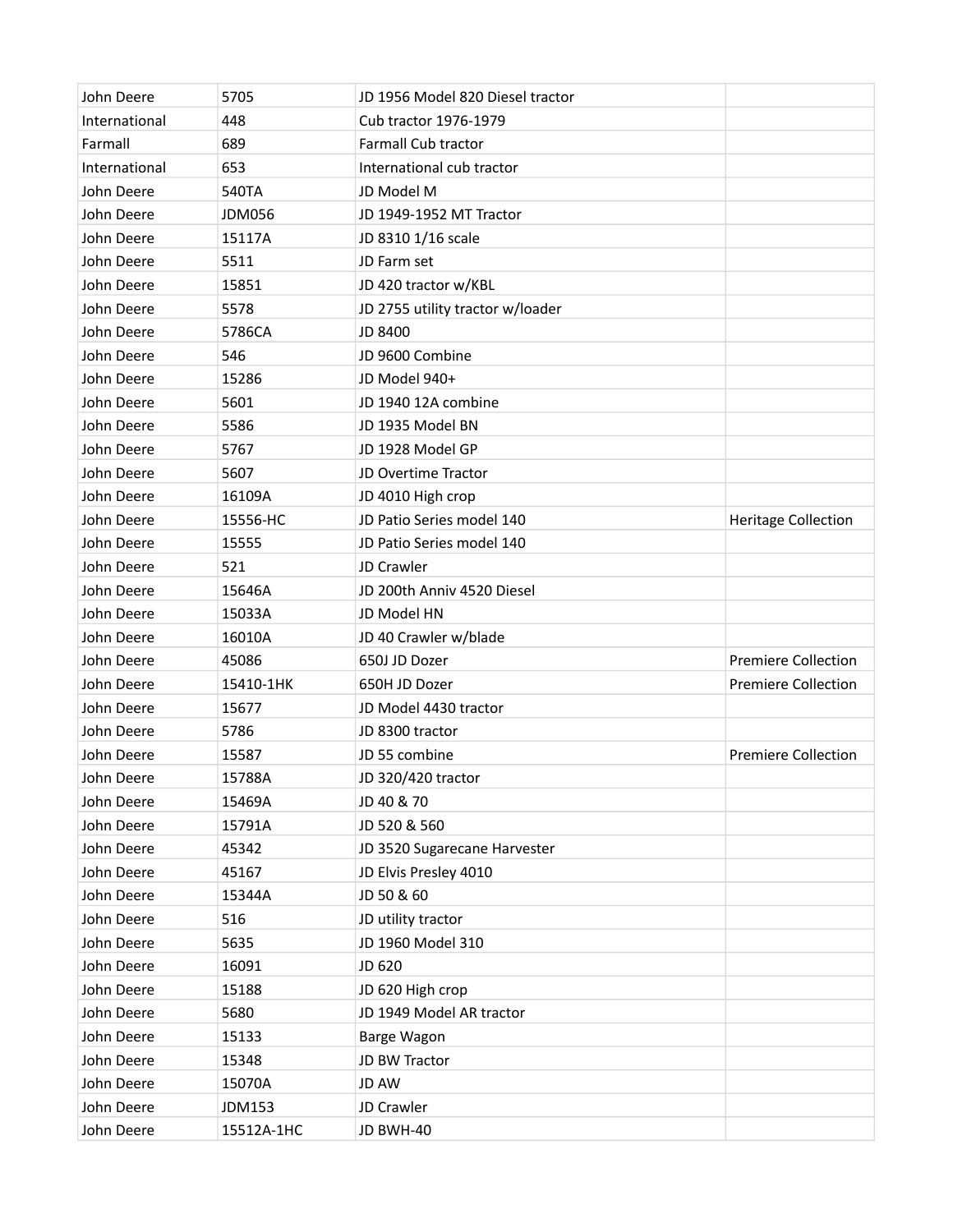| John Deere    | 5705          | JD 1956 Model 820 Diesel tractor |                            |
|---------------|---------------|----------------------------------|----------------------------|
| International | 448           | Cub tractor 1976-1979            |                            |
| Farmall       | 689           | Farmall Cub tractor              |                            |
| International | 653           | International cub tractor        |                            |
| John Deere    | 540TA         | JD Model M                       |                            |
| John Deere    | <b>JDM056</b> | JD 1949-1952 MT Tractor          |                            |
| John Deere    | 15117A        | JD 8310 1/16 scale               |                            |
| John Deere    | 5511          | JD Farm set                      |                            |
| John Deere    | 15851         | JD 420 tractor w/KBL             |                            |
| John Deere    | 5578          | JD 2755 utility tractor w/loader |                            |
| John Deere    | 5786CA        | <b>JD 8400</b>                   |                            |
| John Deere    | 546           | JD 9600 Combine                  |                            |
| John Deere    | 15286         | JD Model 940+                    |                            |
| John Deere    | 5601          | JD 1940 12A combine              |                            |
| John Deere    | 5586          | JD 1935 Model BN                 |                            |
| John Deere    | 5767          | JD 1928 Model GP                 |                            |
| John Deere    | 5607          | JD Overtime Tractor              |                            |
| John Deere    | 16109A        | JD 4010 High crop                |                            |
| John Deere    | 15556-HC      | JD Patio Series model 140        | <b>Heritage Collection</b> |
| John Deere    | 15555         | JD Patio Series model 140        |                            |
| John Deere    | 521           | JD Crawler                       |                            |
| John Deere    | 15646A        | JD 200th Anniv 4520 Diesel       |                            |
| John Deere    | 15033A        | JD Model HN                      |                            |
| John Deere    | 16010A        | JD 40 Crawler w/blade            |                            |
| John Deere    | 45086         | 650J JD Dozer                    | <b>Premiere Collection</b> |
| John Deere    | 15410-1HK     | 650H JD Dozer                    | <b>Premiere Collection</b> |
| John Deere    | 15677         | JD Model 4430 tractor            |                            |
| John Deere    | 5786          | JD 8300 tractor                  |                            |
| John Deere    | 15587         | JD 55 combine                    | <b>Premiere Collection</b> |
| John Deere    | 15788A        | JD 320/420 tractor               |                            |
| John Deere    | 15469A        | JD 40 & 70                       |                            |
| John Deere    | 15791A        | JD 520 & 560                     |                            |
| John Deere    | 45342         | JD 3520 Sugarecane Harvester     |                            |
| John Deere    | 45167         | JD Elvis Presley 4010            |                            |
| John Deere    | 15344A        | JD 50 & 60                       |                            |
| John Deere    | 516           | JD utility tractor               |                            |
| John Deere    | 5635          | JD 1960 Model 310                |                            |
| John Deere    | 16091         | JD 620                           |                            |
| John Deere    | 15188         | JD 620 High crop                 |                            |
| John Deere    | 5680          | JD 1949 Model AR tractor         |                            |
| John Deere    | 15133         | Barge Wagon                      |                            |
| John Deere    | 15348         | JD BW Tractor                    |                            |
| John Deere    | 15070A        | JD AW                            |                            |
| John Deere    | JDM153        | JD Crawler                       |                            |
| John Deere    | 15512A-1HC    | JD BWH-40                        |                            |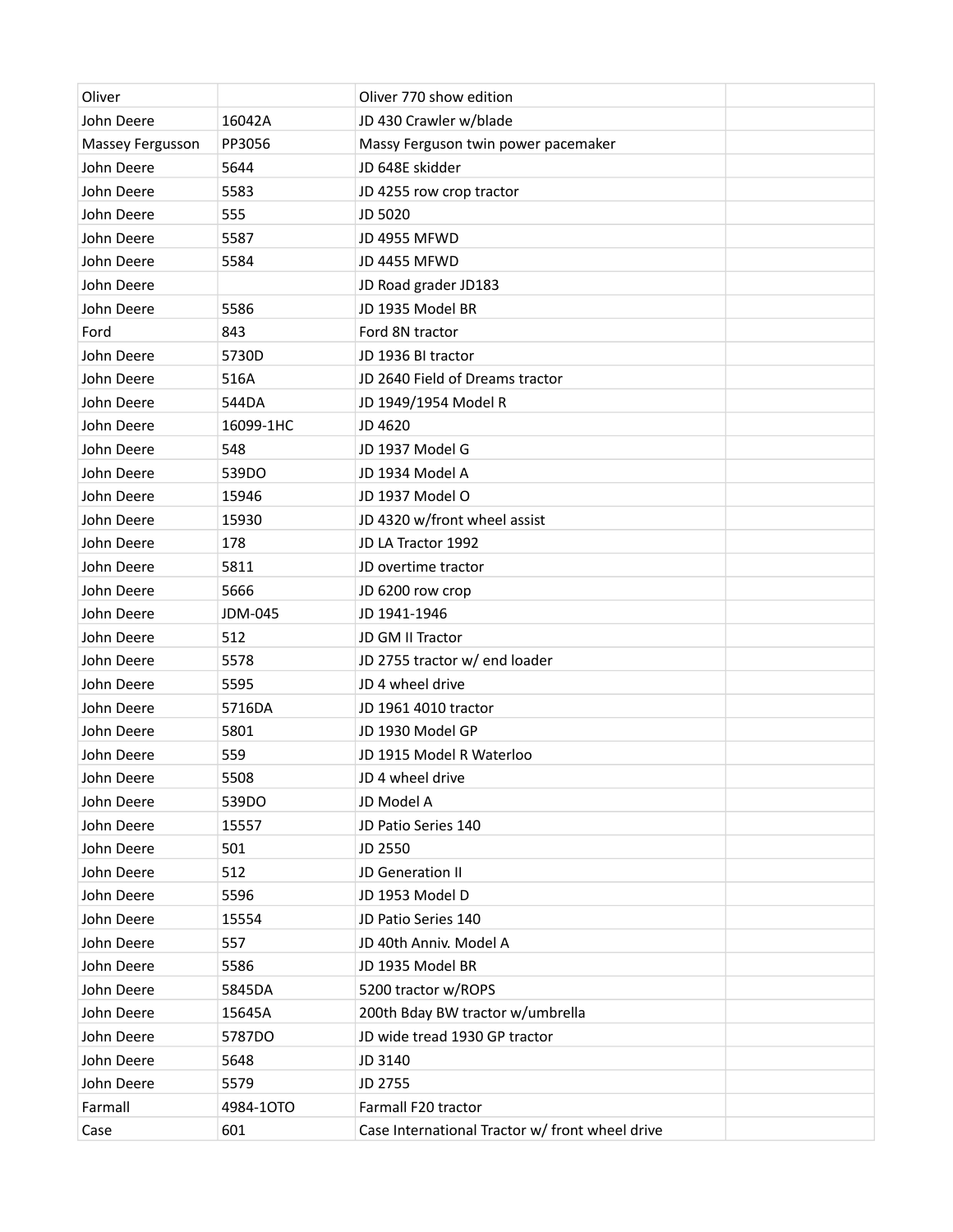| Oliver           |           | Oliver 770 show edition                         |  |
|------------------|-----------|-------------------------------------------------|--|
| John Deere       | 16042A    | JD 430 Crawler w/blade                          |  |
| Massey Fergusson | PP3056    | Massy Ferguson twin power pacemaker             |  |
| John Deere       | 5644      | JD 648E skidder                                 |  |
| John Deere       | 5583      | JD 4255 row crop tractor                        |  |
| John Deere       | 555       | JD 5020                                         |  |
| John Deere       | 5587      | JD 4955 MFWD                                    |  |
| John Deere       | 5584      | <b>JD 4455 MFWD</b>                             |  |
| John Deere       |           | JD Road grader JD183                            |  |
| John Deere       | 5586      | JD 1935 Model BR                                |  |
| Ford             | 843       | Ford 8N tractor                                 |  |
| John Deere       | 5730D     | JD 1936 BI tractor                              |  |
| John Deere       | 516A      | JD 2640 Field of Dreams tractor                 |  |
| John Deere       | 544DA     | JD 1949/1954 Model R                            |  |
| John Deere       | 16099-1HC | JD 4620                                         |  |
| John Deere       | 548       | JD 1937 Model G                                 |  |
| John Deere       | 539DO     | JD 1934 Model A                                 |  |
| John Deere       | 15946     | JD 1937 Model O                                 |  |
| John Deere       | 15930     | JD 4320 w/front wheel assist                    |  |
| John Deere       | 178       | JD LA Tractor 1992                              |  |
| John Deere       | 5811      | JD overtime tractor                             |  |
| John Deere       | 5666      | JD 6200 row crop                                |  |
| John Deere       | JDM-045   | JD 1941-1946                                    |  |
| John Deere       | 512       | JD GM II Tractor                                |  |
| John Deere       | 5578      | JD 2755 tractor w/ end loader                   |  |
| John Deere       | 5595      | JD 4 wheel drive                                |  |
| John Deere       | 5716DA    | JD 1961 4010 tractor                            |  |
| John Deere       | 5801      | JD 1930 Model GP                                |  |
| John Deere       | 559       | JD 1915 Model R Waterloo                        |  |
| John Deere       | 5508      | JD 4 wheel drive                                |  |
| John Deere       | 539DO     | JD Model A                                      |  |
| John Deere       | 15557     | JD Patio Series 140                             |  |
| John Deere       | 501       | JD 2550                                         |  |
| John Deere       | 512       | JD Generation II                                |  |
| John Deere       | 5596      | JD 1953 Model D                                 |  |
| John Deere       | 15554     | JD Patio Series 140                             |  |
| John Deere       | 557       | JD 40th Anniv. Model A                          |  |
| John Deere       | 5586      | JD 1935 Model BR                                |  |
| John Deere       | 5845DA    | 5200 tractor w/ROPS                             |  |
| John Deere       | 15645A    | 200th Bday BW tractor w/umbrella                |  |
| John Deere       | 5787DO    | JD wide tread 1930 GP tractor                   |  |
| John Deere       | 5648      | JD 3140                                         |  |
| John Deere       | 5579      | JD 2755                                         |  |
| Farmall          | 4984-10TO | Farmall F20 tractor                             |  |
| Case             | 601       | Case International Tractor w/ front wheel drive |  |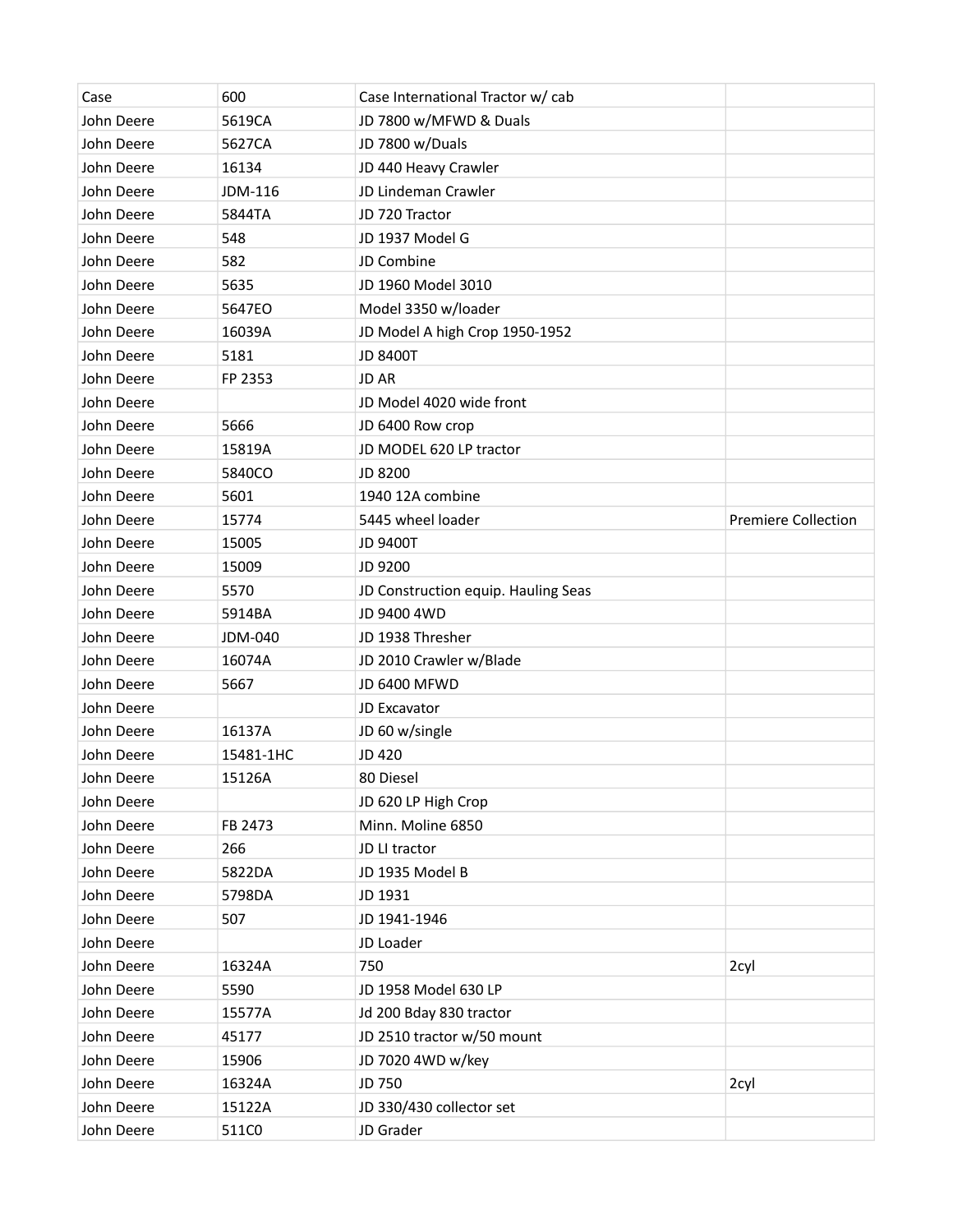| Case       | 600       | Case International Tractor w/cab    |                            |
|------------|-----------|-------------------------------------|----------------------------|
| John Deere | 5619CA    | JD 7800 w/MFWD & Duals              |                            |
| John Deere | 5627CA    | JD 7800 w/Duals                     |                            |
| John Deere | 16134     | JD 440 Heavy Crawler                |                            |
| John Deere | JDM-116   | JD Lindeman Crawler                 |                            |
| John Deere | 5844TA    | JD 720 Tractor                      |                            |
| John Deere | 548       | JD 1937 Model G                     |                            |
| John Deere | 582       | JD Combine                          |                            |
| John Deere | 5635      | JD 1960 Model 3010                  |                            |
| John Deere | 5647EO    | Model 3350 w/loader                 |                            |
| John Deere | 16039A    | JD Model A high Crop 1950-1952      |                            |
| John Deere | 5181      | <b>JD 8400T</b>                     |                            |
| John Deere | FP 2353   | JD AR                               |                            |
| John Deere |           | JD Model 4020 wide front            |                            |
| John Deere | 5666      | JD 6400 Row crop                    |                            |
| John Deere | 15819A    | JD MODEL 620 LP tractor             |                            |
| John Deere | 5840CO    | JD 8200                             |                            |
| John Deere | 5601      | 1940 12A combine                    |                            |
| John Deere | 15774     | 5445 wheel loader                   | <b>Premiere Collection</b> |
| John Deere | 15005     | <b>JD 9400T</b>                     |                            |
| John Deere | 15009     | JD 9200                             |                            |
| John Deere | 5570      | JD Construction equip. Hauling Seas |                            |
| John Deere | 5914BA    | JD 9400 4WD                         |                            |
| John Deere | JDM-040   | JD 1938 Thresher                    |                            |
| John Deere | 16074A    | JD 2010 Crawler w/Blade             |                            |
| John Deere | 5667      | JD 6400 MFWD                        |                            |
| John Deere |           | JD Excavator                        |                            |
| John Deere | 16137A    | JD 60 w/single                      |                            |
| John Deere | 15481-1HC | JD 420                              |                            |
| John Deere | 15126A    | 80 Diesel                           |                            |
| John Deere |           | JD 620 LP High Crop                 |                            |
| John Deere | FB 2473   | Minn. Moline 6850                   |                            |
| John Deere | 266       | JD LI tractor                       |                            |
| John Deere | 5822DA    | JD 1935 Model B                     |                            |
| John Deere | 5798DA    | JD 1931                             |                            |
| John Deere | 507       | JD 1941-1946                        |                            |
| John Deere |           | JD Loader                           |                            |
| John Deere | 16324A    | 750                                 | 2cyl                       |
| John Deere | 5590      | JD 1958 Model 630 LP                |                            |
| John Deere | 15577A    | Jd 200 Bday 830 tractor             |                            |
| John Deere | 45177     | JD 2510 tractor w/50 mount          |                            |
| John Deere | 15906     | JD 7020 4WD w/key                   |                            |
| John Deere | 16324A    | JD 750                              | 2cyl                       |
| John Deere | 15122A    | JD 330/430 collector set            |                            |
| John Deere | 511C0     | JD Grader                           |                            |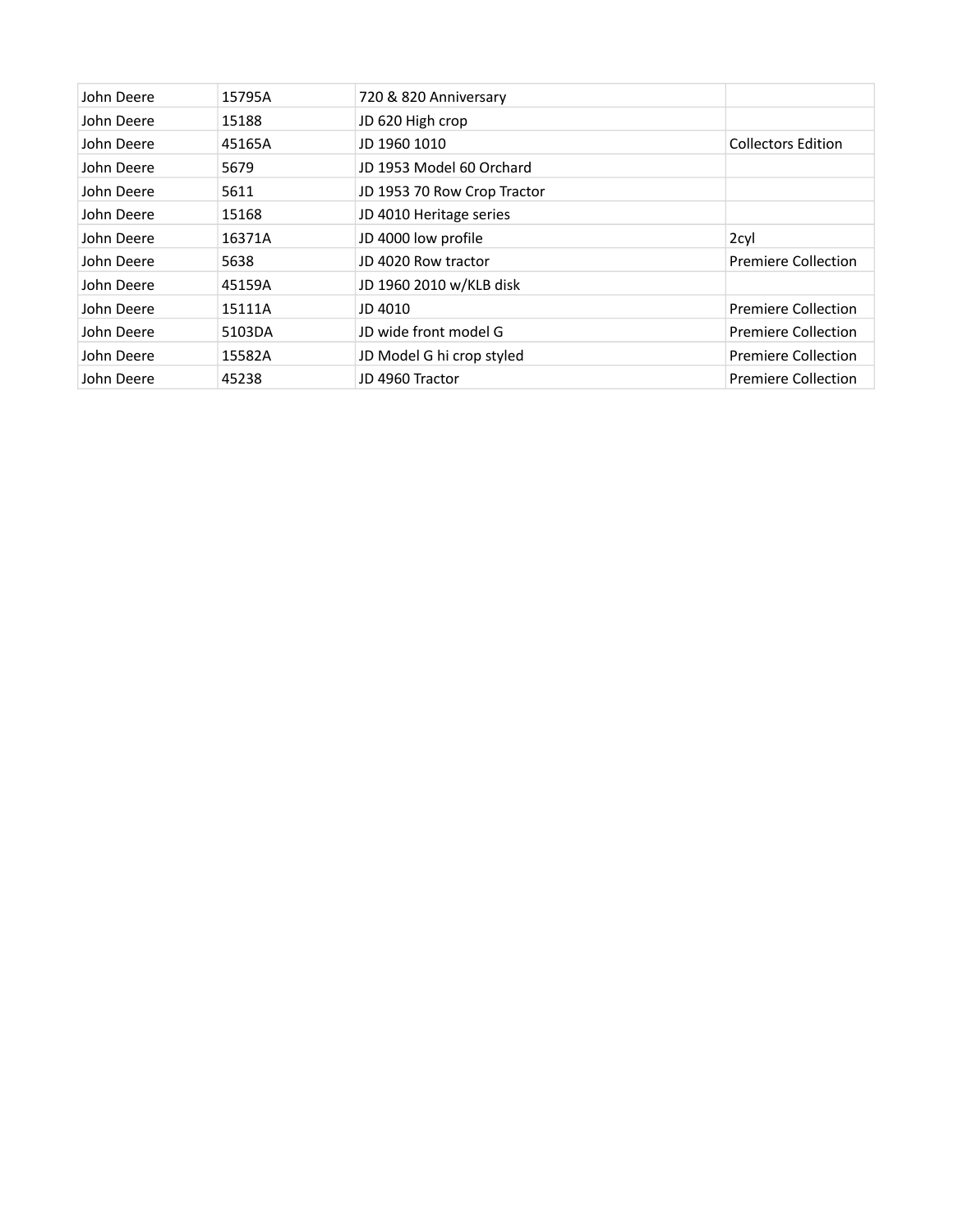| John Deere | 15795A | 720 & 820 Anniversary       |                            |
|------------|--------|-----------------------------|----------------------------|
| John Deere | 15188  | JD 620 High crop            |                            |
| John Deere | 45165A | JD 1960 1010                | <b>Collectors Edition</b>  |
| John Deere | 5679   | JD 1953 Model 60 Orchard    |                            |
| John Deere | 5611   | JD 1953 70 Row Crop Tractor |                            |
| John Deere | 15168  | JD 4010 Heritage series     |                            |
| John Deere | 16371A | JD 4000 low profile         | 2cyl                       |
| John Deere | 5638   | JD 4020 Row tractor         | <b>Premiere Collection</b> |
| John Deere | 45159A | JD 1960 2010 w/KLB disk     |                            |
| John Deere | 15111A | JD 4010                     | <b>Premiere Collection</b> |
| John Deere | 5103DA | JD wide front model G       | <b>Premiere Collection</b> |
| John Deere | 15582A | JD Model G hi crop styled   | Premiere Collection        |
| John Deere | 45238  | JD 4960 Tractor             | <b>Premiere Collection</b> |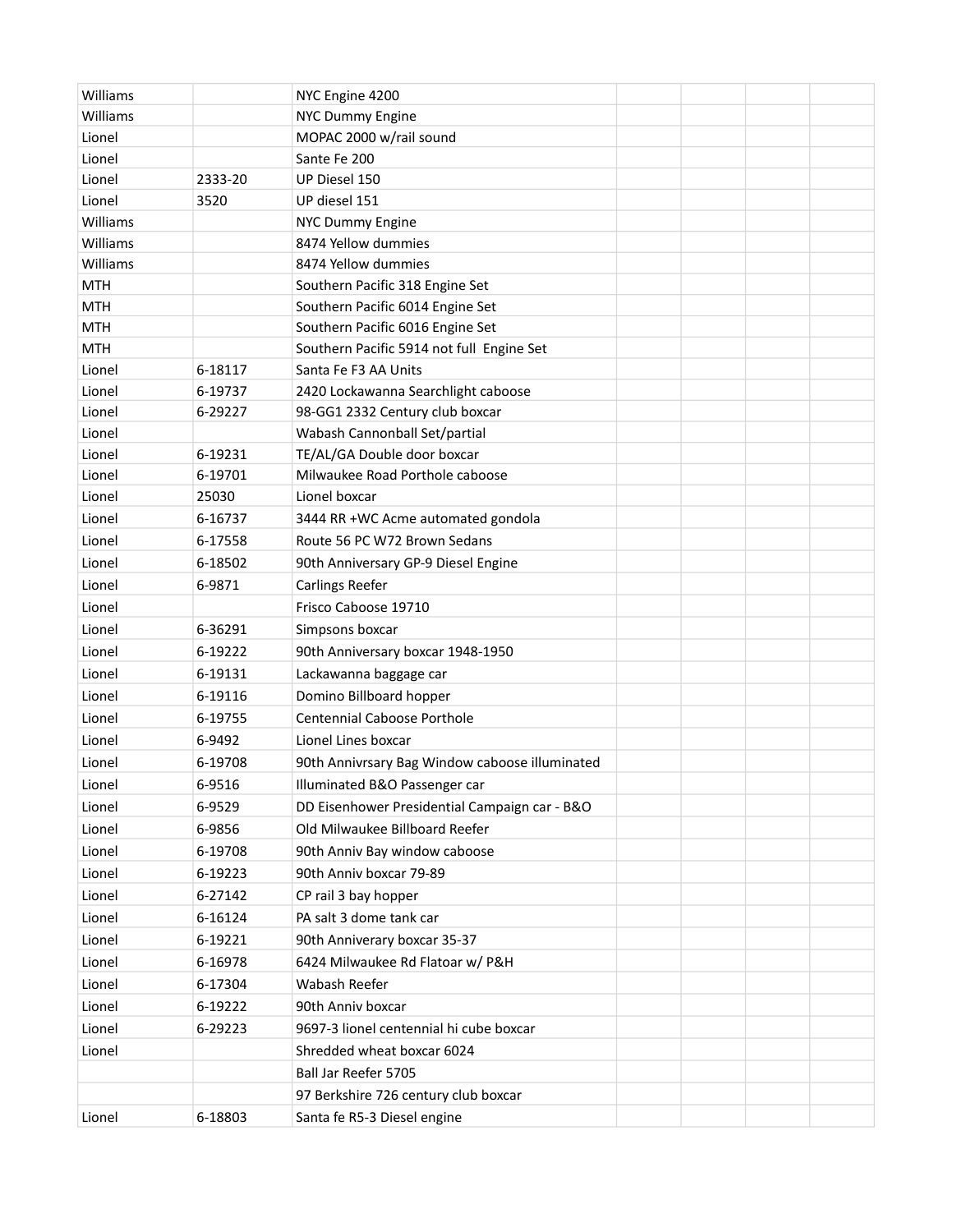| Williams   |         | NYC Engine 4200                                |  |  |
|------------|---------|------------------------------------------------|--|--|
| Williams   |         | <b>NYC Dummy Engine</b>                        |  |  |
| Lionel     |         | MOPAC 2000 w/rail sound                        |  |  |
| Lionel     |         | Sante Fe 200                                   |  |  |
| Lionel     | 2333-20 | UP Diesel 150                                  |  |  |
| Lionel     | 3520    | UP diesel 151                                  |  |  |
| Williams   |         | NYC Dummy Engine                               |  |  |
| Williams   |         | 8474 Yellow dummies                            |  |  |
| Williams   |         | 8474 Yellow dummies                            |  |  |
| <b>MTH</b> |         | Southern Pacific 318 Engine Set                |  |  |
| <b>MTH</b> |         | Southern Pacific 6014 Engine Set               |  |  |
| <b>MTH</b> |         | Southern Pacific 6016 Engine Set               |  |  |
| <b>MTH</b> |         | Southern Pacific 5914 not full Engine Set      |  |  |
| Lionel     | 6-18117 | Santa Fe F3 AA Units                           |  |  |
| Lionel     | 6-19737 | 2420 Lockawanna Searchlight caboose            |  |  |
| Lionel     | 6-29227 | 98-GG1 2332 Century club boxcar                |  |  |
| Lionel     |         | Wabash Cannonball Set/partial                  |  |  |
| Lionel     | 6-19231 | TE/AL/GA Double door boxcar                    |  |  |
| Lionel     | 6-19701 | Milwaukee Road Porthole caboose                |  |  |
| Lionel     | 25030   | Lionel boxcar                                  |  |  |
| Lionel     | 6-16737 | 3444 RR +WC Acme automated gondola             |  |  |
| Lionel     | 6-17558 | Route 56 PC W72 Brown Sedans                   |  |  |
| Lionel     | 6-18502 | 90th Anniversary GP-9 Diesel Engine            |  |  |
| Lionel     | 6-9871  | <b>Carlings Reefer</b>                         |  |  |
| Lionel     |         | Frisco Caboose 19710                           |  |  |
| Lionel     | 6-36291 | Simpsons boxcar                                |  |  |
| Lionel     | 6-19222 | 90th Anniversary boxcar 1948-1950              |  |  |
| Lionel     | 6-19131 | Lackawanna baggage car                         |  |  |
| Lionel     | 6-19116 | Domino Billboard hopper                        |  |  |
| Lionel     | 6-19755 | <b>Centennial Caboose Porthole</b>             |  |  |
| Lionel     | 6-9492  | Lionel Lines boxcar                            |  |  |
| Lionel     | 6-19708 | 90th Annivrsary Bag Window caboose illuminated |  |  |
| Lionel     | 6-9516  | Illuminated B&O Passenger car                  |  |  |
| Lionel     | 6-9529  | DD Eisenhower Presidential Campaign car - B&O  |  |  |
| Lionel     | 6-9856  | Old Milwaukee Billboard Reefer                 |  |  |
| Lionel     | 6-19708 | 90th Anniv Bay window caboose                  |  |  |
| Lionel     | 6-19223 | 90th Anniv boxcar 79-89                        |  |  |
| Lionel     | 6-27142 | CP rail 3 bay hopper                           |  |  |
| Lionel     | 6-16124 | PA salt 3 dome tank car                        |  |  |
| Lionel     | 6-19221 | 90th Anniverary boxcar 35-37                   |  |  |
| Lionel     | 6-16978 | 6424 Milwaukee Rd Flatoar w/ P&H               |  |  |
| Lionel     | 6-17304 | Wabash Reefer                                  |  |  |
| Lionel     | 6-19222 | 90th Anniv boxcar                              |  |  |
| Lionel     | 6-29223 | 9697-3 lionel centennial hi cube boxcar        |  |  |
| Lionel     |         | Shredded wheat boxcar 6024                     |  |  |
|            |         | Ball Jar Reefer 5705                           |  |  |
|            |         | 97 Berkshire 726 century club boxcar           |  |  |
| Lionel     | 6-18803 | Santa fe R5-3 Diesel engine                    |  |  |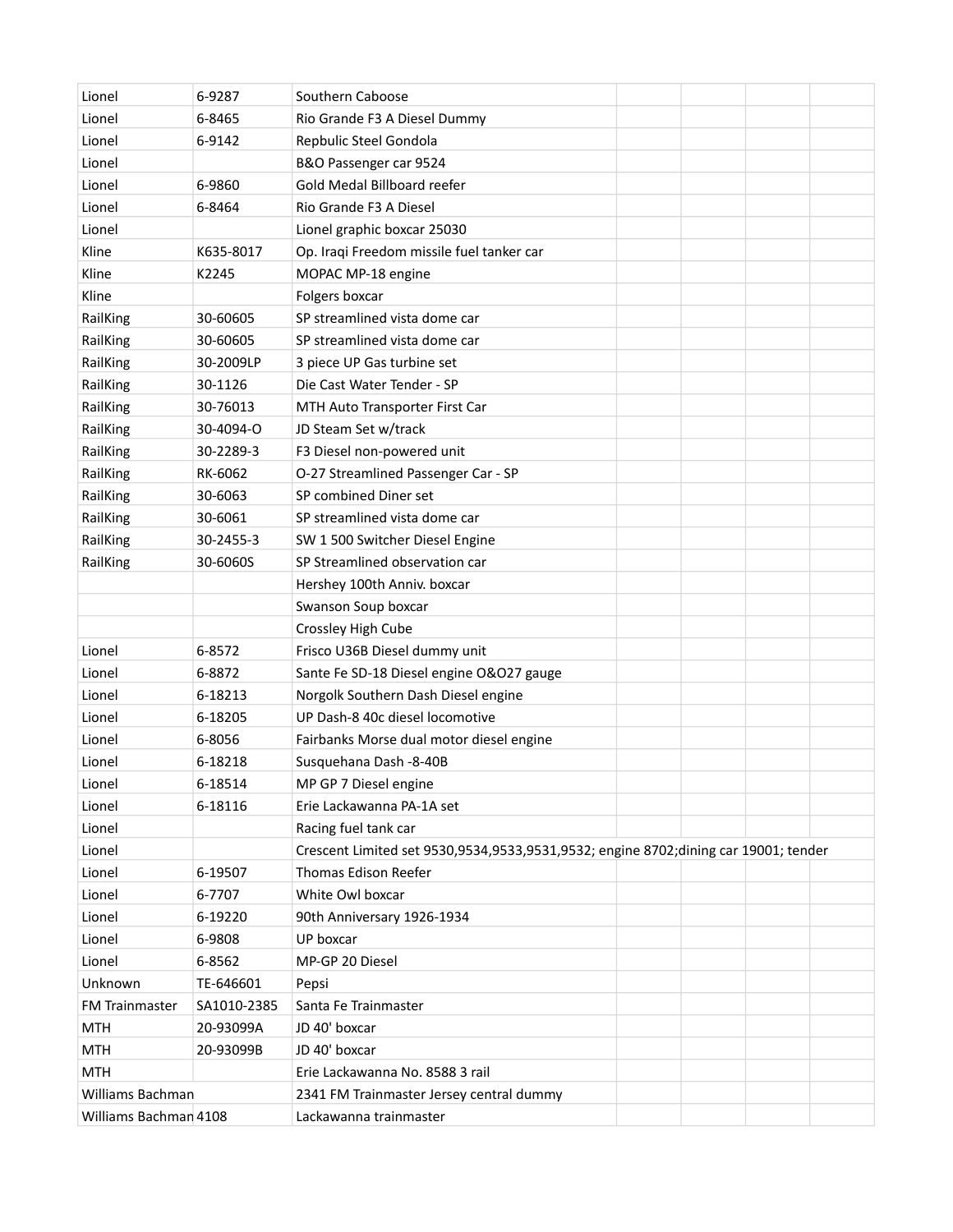| Lionel                | 6-9287      | Southern Caboose                                                                    |
|-----------------------|-------------|-------------------------------------------------------------------------------------|
| Lionel                | 6-8465      | Rio Grande F3 A Diesel Dummy                                                        |
| Lionel                | 6-9142      | Repbulic Steel Gondola                                                              |
| Lionel                |             | B&O Passenger car 9524                                                              |
| Lionel                | 6-9860      | Gold Medal Billboard reefer                                                         |
| Lionel                | 6-8464      | Rio Grande F3 A Diesel                                                              |
| Lionel                |             | Lionel graphic boxcar 25030                                                         |
| Kline                 | K635-8017   | Op. Iraqi Freedom missile fuel tanker car                                           |
| Kline                 | K2245       | MOPAC MP-18 engine                                                                  |
| Kline                 |             | Folgers boxcar                                                                      |
| RailKing              | 30-60605    | SP streamlined vista dome car                                                       |
| RailKing              | 30-60605    | SP streamlined vista dome car                                                       |
| RailKing              | 30-2009LP   | 3 piece UP Gas turbine set                                                          |
| RailKing              | 30-1126     | Die Cast Water Tender - SP                                                          |
| RailKing              | 30-76013    | MTH Auto Transporter First Car                                                      |
| RailKing              | 30-4094-O   | JD Steam Set w/track                                                                |
| RailKing              | 30-2289-3   | F3 Diesel non-powered unit                                                          |
| RailKing              | RK-6062     | O-27 Streamlined Passenger Car - SP                                                 |
| RailKing              | 30-6063     | SP combined Diner set                                                               |
| RailKing              | 30-6061     | SP streamlined vista dome car                                                       |
| RailKing              | 30-2455-3   | SW 1 500 Switcher Diesel Engine                                                     |
| RailKing              | 30-6060S    | SP Streamlined observation car                                                      |
|                       |             | Hershey 100th Anniv. boxcar                                                         |
|                       |             | Swanson Soup boxcar                                                                 |
|                       |             | Crossley High Cube                                                                  |
| Lionel                | 6-8572      | Frisco U36B Diesel dummy unit                                                       |
| Lionel                | 6-8872      | Sante Fe SD-18 Diesel engine O&O27 gauge                                            |
| Lionel                | 6-18213     | Norgolk Southern Dash Diesel engine                                                 |
| Lionel                | 6-18205     | UP Dash-8 40c diesel locomotive                                                     |
| Lionel                | 6-8056      | Fairbanks Morse dual motor diesel engine                                            |
| Lionel                | 6-18218     | Susquehana Dash -8-40B                                                              |
| Lionel                | 6-18514     | MP GP 7 Diesel engine                                                               |
| Lionel                | 6-18116     | Erie Lackawanna PA-1A set                                                           |
| Lionel                |             | Racing fuel tank car                                                                |
| Lionel                |             | Crescent Limited set 9530,9534,9533,9531,9532; engine 8702;dining car 19001; tender |
| Lionel                | 6-19507     | Thomas Edison Reefer                                                                |
| Lionel                | 6-7707      | White Owl boxcar                                                                    |
| Lionel                | 6-19220     | 90th Anniversary 1926-1934                                                          |
| Lionel                | 6-9808      | UP boxcar                                                                           |
| Lionel                | 6-8562      | MP-GP 20 Diesel                                                                     |
| Unknown               | TE-646601   | Pepsi                                                                               |
| <b>FM Trainmaster</b> | SA1010-2385 | Santa Fe Trainmaster                                                                |
| <b>MTH</b>            | 20-93099A   | JD 40' boxcar                                                                       |
| <b>MTH</b>            | 20-93099B   | JD 40' boxcar                                                                       |
| <b>MTH</b>            |             | Erie Lackawanna No. 8588 3 rail                                                     |
| Williams Bachman      |             | 2341 FM Trainmaster Jersey central dummy                                            |
| Williams Bachman 4108 |             | Lackawanna trainmaster                                                              |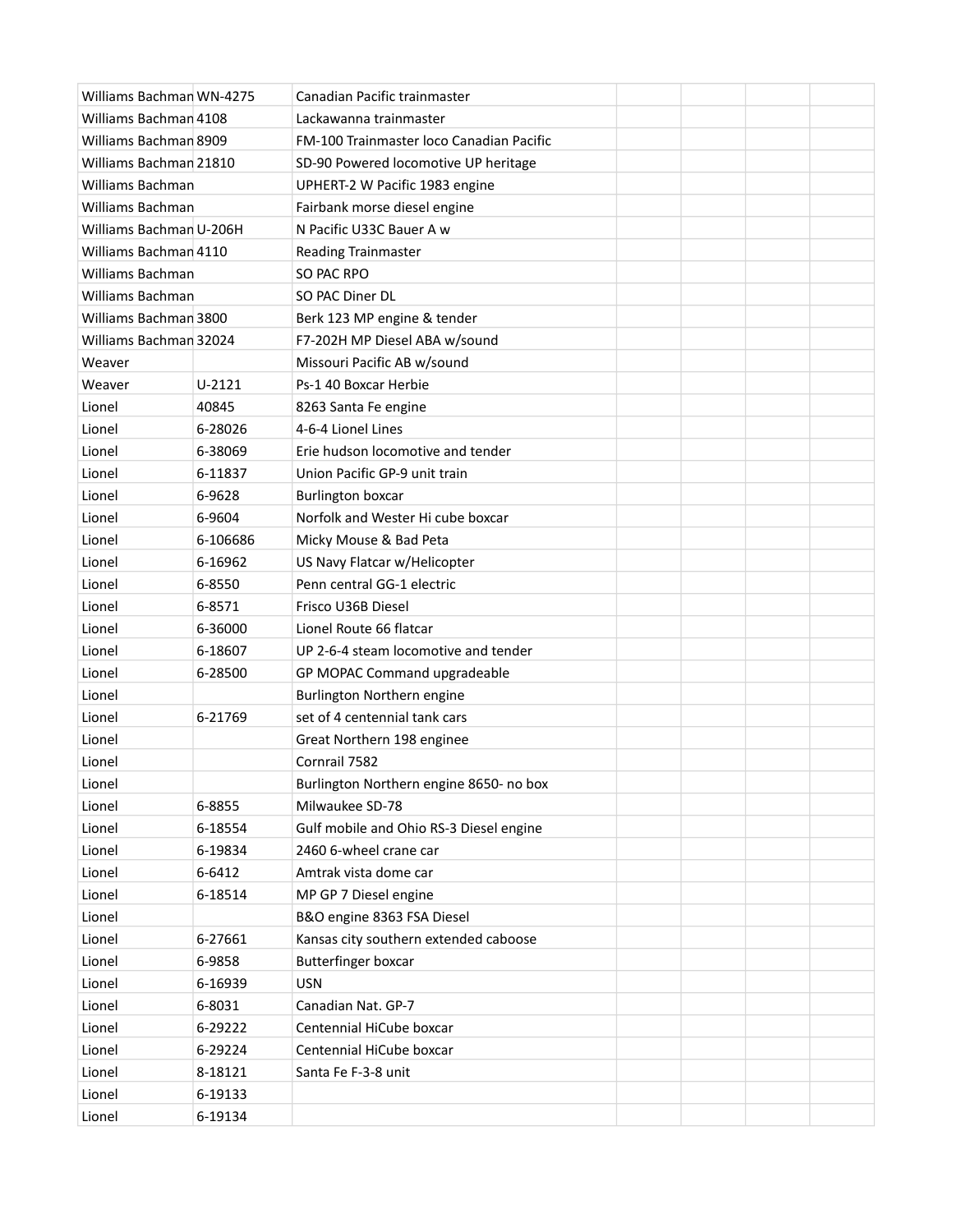| Williams Bachman WN-4275 |            | Canadian Pacific trainmaster             |  |  |
|--------------------------|------------|------------------------------------------|--|--|
| Williams Bachman 4108    |            | Lackawanna trainmaster                   |  |  |
| Williams Bachman 8909    |            | FM-100 Trainmaster loco Canadian Pacific |  |  |
| Williams Bachman 21810   |            | SD-90 Powered locomotive UP heritage     |  |  |
| Williams Bachman         |            | UPHERT-2 W Pacific 1983 engine           |  |  |
| <b>Williams Bachman</b>  |            | Fairbank morse diesel engine             |  |  |
| Williams Bachman U-206H  |            | N Pacific U33C Bauer A w                 |  |  |
| Williams Bachman 4110    |            | <b>Reading Trainmaster</b>               |  |  |
| Williams Bachman         |            | SO PAC RPO                               |  |  |
| <b>Williams Bachman</b>  |            | SO PAC Diner DL                          |  |  |
| Williams Bachman 3800    |            | Berk 123 MP engine & tender              |  |  |
| Williams Bachman 32024   |            | F7-202H MP Diesel ABA w/sound            |  |  |
| Weaver                   |            | Missouri Pacific AB w/sound              |  |  |
| Weaver                   | $U - 2121$ | Ps-1 40 Boxcar Herbie                    |  |  |
| Lionel                   | 40845      | 8263 Santa Fe engine                     |  |  |
| Lionel                   | 6-28026    | 4-6-4 Lionel Lines                       |  |  |
| Lionel                   | 6-38069    | Erie hudson locomotive and tender        |  |  |
| Lionel                   | 6-11837    | Union Pacific GP-9 unit train            |  |  |
| Lionel                   | 6-9628     | <b>Burlington boxcar</b>                 |  |  |
| Lionel                   | 6-9604     | Norfolk and Wester Hi cube boxcar        |  |  |
| Lionel                   | 6-106686   | Micky Mouse & Bad Peta                   |  |  |
| Lionel                   | 6-16962    | US Navy Flatcar w/Helicopter             |  |  |
| Lionel                   | 6-8550     | Penn central GG-1 electric               |  |  |
| Lionel                   | 6-8571     | Frisco U36B Diesel                       |  |  |
| Lionel                   | 6-36000    | Lionel Route 66 flatcar                  |  |  |
| Lionel                   | 6-18607    | UP 2-6-4 steam locomotive and tender     |  |  |
| Lionel                   | 6-28500    | GP MOPAC Command upgradeable             |  |  |
| Lionel                   |            | Burlington Northern engine               |  |  |
| Lionel                   | 6-21769    | set of 4 centennial tank cars            |  |  |
| Lionel                   |            | Great Northern 198 enginee               |  |  |
| Lionel                   |            | Cornrail 7582                            |  |  |
| Lionel                   |            | Burlington Northern engine 8650- no box  |  |  |
| Lionel                   | 6-8855     | Milwaukee SD-78                          |  |  |
| Lionel                   | 6-18554    | Gulf mobile and Ohio RS-3 Diesel engine  |  |  |
| Lionel                   | 6-19834    | 2460 6-wheel crane car                   |  |  |
| Lionel                   | 6-6412     | Amtrak vista dome car                    |  |  |
| Lionel                   | 6-18514    | MP GP 7 Diesel engine                    |  |  |
| Lionel                   |            | B&O engine 8363 FSA Diesel               |  |  |
| Lionel                   | 6-27661    | Kansas city southern extended caboose    |  |  |
| Lionel                   | 6-9858     | <b>Butterfinger boxcar</b>               |  |  |
| Lionel                   | 6-16939    | <b>USN</b>                               |  |  |
| Lionel                   | 6-8031     | Canadian Nat. GP-7                       |  |  |
| Lionel                   | 6-29222    | Centennial HiCube boxcar                 |  |  |
| Lionel                   | 6-29224    | Centennial HiCube boxcar                 |  |  |
| Lionel                   | 8-18121    | Santa Fe F-3-8 unit                      |  |  |
| Lionel                   | 6-19133    |                                          |  |  |
| Lionel                   | 6-19134    |                                          |  |  |